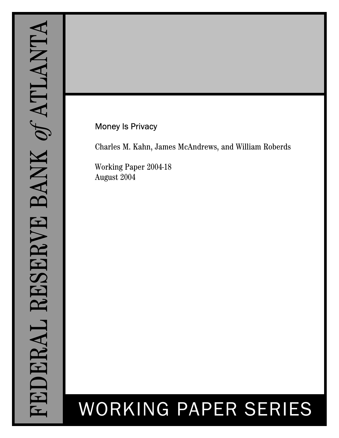# Money Is Privacy

Charles M. Kahn, James McAndrews, and William Roberds

Working Paper 2004-18 August 2004

# WORKING PAPER SERIES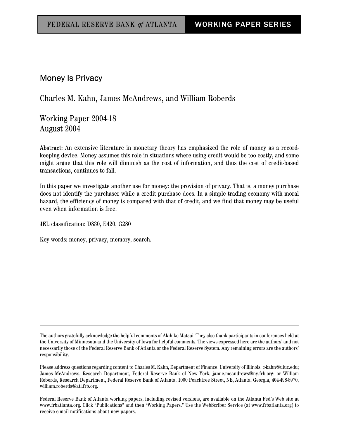# Money Is Privacy

# Charles M. Kahn, James McAndrews, and William Roberds

Working Paper 2004-18 August 2004

Abstract: An extensive literature in monetary theory has emphasized the role of money as a recordkeeping device. Money assumes this role in situations where using credit would be too costly, and some might argue that this role will diminish as the cost of information, and thus the cost of credit-based transactions, continues to fall.

In this paper we investigate another use for money: the provision of privacy. That is, a money purchase does not identify the purchaser while a credit purchase does. In a simple trading economy with moral hazard, the efficiency of money is compared with that of credit, and we find that money may be useful even when information is free.

JEL classification: D830, E420, G280

Key words: money, privacy, memory, search.

The authors gratefully acknowledge the helpful comments of Akihiko Matsui. They also thank participants in conferences held at the University of Minnesota and the University of Iowa for helpful comments. The views expressed here are the authors' and not necessarily those of the Federal Reserve Bank of Atlanta or the Federal Reserve System. Any remaining errors are the authors' responsibility.

Please address questions regarding content to Charles M. Kahn, Department of Finance, University of Illinois, c-kahn@uiuc.edu; James McAndrews, Research Department, Federal Reserve Bank of New York, jamie.mcandrews@ny.frb.org; or William Roberds, Research Department, Federal Reserve Bank of Atlanta, 1000 Peachtree Street, NE, Atlanta, Georgia, 404-498-8970, william.roberds@atl.frb.org.

Federal Reserve Bank of Atlanta working papers, including revised versions, are available on the Atlanta Fed's Web site at www.frbatlanta.org. Click "Publications" and then "Working Papers." Use the WebScriber Service (at www.frbatlanta.org) to receive e-mail notifications about new papers.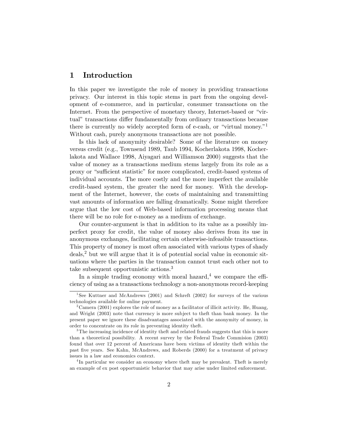# 1 Introduction

In this paper we investigate the role of money in providing transactions privacy. Our interest in this topic stems in part from the ongoing development of e-commerce, and in particular, consumer transactions on the Internet. From the perspective of monetary theory, Internet-based or "virtual" transactions differ fundamentally from ordinary transactions because there is currently no widely accepted form of e-cash, or "virtual money."<sup>1</sup> Without cash, purely anonymous transactions are not possible.

Is this lack of anonymity desirable? Some of the literature on money versus credit (e.g., Townsend 1989, Taub 1994, Kocherlakota 1998, Kocherlakota and Wallace 1998, Aiyagari and Williamson 2000) suggests that the value of money as a transactions medium stems largely from its role as a proxy or "sufficient statistic" for more complicated, credit-based systems of individual accounts. The more costly and the more imperfect the available credit-based system, the greater the need for money. With the development of the Internet, however, the costs of maintaining and transmitting vast amounts of information are falling dramatically. Some might therefore argue that the low cost of Web-based information processing means that there will be no role for e-money as a medium of exchange.

Our counter-argument is that in addition to its value as a possibly imperfect proxy for credit, the value of money also derives from its use in anonymous exchanges, facilitating certain otherwise-infeasible transactions. This property of money is most often associated with various types of shady deals,<sup>2</sup> but we will argue that it is of potential social value in economic situations where the parties in the transaction cannot trust each other not to take subsequent opportunistic actions.<sup>3</sup>

In a simple trading economy with moral hazard,<sup>4</sup> we compare the efficiency of using as a transactions technology a non-anonymous record-keeping

<sup>&</sup>lt;sup>1</sup>See Kuttner and McAndrews (2001) and Schreft (2002) for surveys of the various technologies available for online payment.

<sup>&</sup>lt;sup>2</sup> Camera (2001) explores the role of money as a facilitator of illicit activity. He, Huang, and Wright (2003) note that currency is more subject to theft than bank money. In the present paper we ignore these disadvantages associated with the anonymity of money, in order to concentrate on its role in preventing identity theft.

 $3$ The increasing incidence of identity theft and related frauds suggests that this is more than a theoretical possibility. A recent survey by the Federal Trade Commision (2003) found that over 12 percent of Americans have been victims of identity theft within the past Öve years. See Kahn, McAndrews, and Roberds (2000) for a treatment of privacy issues in a law and economics context.

<sup>&</sup>lt;sup>4</sup>In particular we consider an economy where theft may be prevalent. Theft is merely an example of ex post opportunistic behavior that may arise under limited enforcement.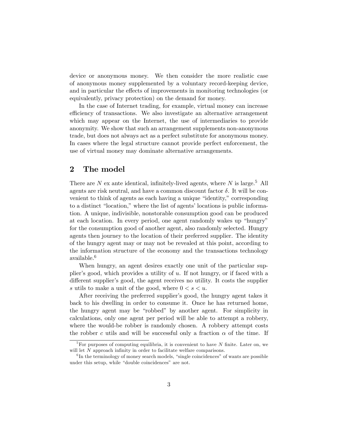device or anonymous money. We then consider the more realistic case of anonymous money supplemented by a voluntary record-keeping device, and in particular the effects of improvements in monitoring technologies (or equivalently, privacy protection) on the demand for money.

In the case of Internet trading, for example, virtual money can increase efficiency of transactions. We also investigate an alternative arrangement which may appear on the Internet, the use of intermediaries to provide anonymity. We show that such an arrangement supplements non-anonymous trade, but does not always act as a perfect substitute for anonymous money. In cases where the legal structure cannot provide perfect enforcement, the use of virtual money may dominate alternative arrangements.

# 2 The model

There are  $N$  ex ante identical, infinitely-lived agents, where  $N$  is large.<sup>5</sup> All agents are risk neutral, and have a common discount factor  $\delta$ . It will be convenient to think of agents as each having a unique "identity," corresponding to a distinct "location," where the list of agents' locations is public information. A unique, indivisible, nonstorable consumption good can be produced at each location. In every period, one agent randomly wakes up "hungry" for the consumption good of another agent, also randomly selected. Hungry agents then journey to the location of their preferred supplier. The identity of the hungry agent may or may not be revealed at this point, according to the information structure of the economy and the transactions technology available.<sup>6</sup>

When hungry, an agent desires exactly one unit of the particular supplier's good, which provides a utility of  $u$ . If not hungry, or if faced with a different supplier's good, the agent receives no utility. It costs the supplier s utils to make a unit of the good, where  $0 < s < u$ .

After receiving the preferred supplier's good, the hungry agent takes it back to his dwelling in order to consume it. Once he has returned home, the hungry agent may be "robbed" by another agent. For simplicity in calculations, only one agent per period will be able to attempt a robbery, where the would-be robber is randomly chosen. A robbery attempt costs the robber c utils and will be successful only a fraction  $\alpha$  of the time. If

 ${}^{5}$ For purposes of computing equilibria, it is convenient to have N finite. Later on, we will let  $N$  approach infinity in order to facilitate welfare comparisons.

 ${}^{6}$ In the terminology of money search models, "single coincidences" of wants are possible under this setup, while "double coincidences" are not.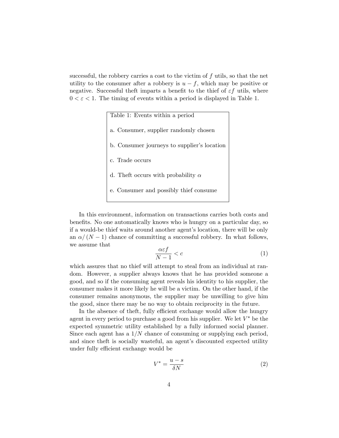successful, the robbery carries a cost to the victim of  $f$  utils, so that the net utility to the consumer after a robbery is  $u - f$ , which may be positive or negative. Successful theft imparts a benefit to the thief of  $\varepsilon f$  utils, where  $0 < \varepsilon < 1$ . The timing of events within a period is displayed in Table 1.

> Table 1: Events within a period a. Consumer, supplier randomly chosen b. Consumer journeys to supplier's location c. Trade occurs d. The<br>ft occurs with probability  $\alpha$ e. Consumer and possibly thief consume

In this environment, information on transactions carries both costs and benefits. No one automatically knows who is hungry on a particular day, so if a would-be thief waits around another agent's location, there will be only an  $\alpha/(N-1)$  chance of committing a successful robbery. In what follows, we assume that

$$
\frac{\alpha \varepsilon f}{N-1} < c \tag{1}
$$

which assures that no thief will attempt to steal from an individual at random. However, a supplier always knows that he has provided someone a good, and so if the consuming agent reveals his identity to his supplier, the consumer makes it more likely he will be a victim. On the other hand, if the consumer remains anonymous, the supplier may be unwilling to give him the good, since there may be no way to obtain reciprocity in the future.

In the absence of theft, fully efficient exchange would allow the hungry agent in every period to purchase a good from his supplier. We let  $V^*$  be the expected symmetric utility established by a fully informed social planner. Since each agent has a  $1/N$  chance of consuming or supplying each period, and since theft is socially wasteful, an agent's discounted expected utility under fully efficient exchange would be

$$
V^* = \frac{u - s}{\delta N} \tag{2}
$$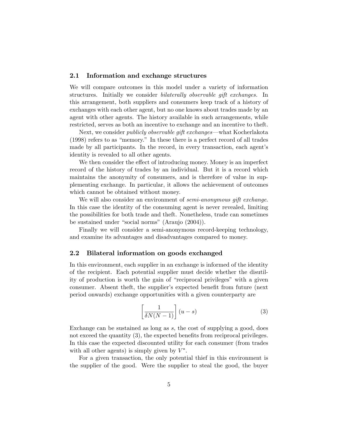#### 2.1 Information and exchange structures

We will compare outcomes in this model under a variety of information structures. Initially we consider bilaterally observable gift exchanges. In this arrangement, both suppliers and consumers keep track of a history of exchanges with each other agent, but no one knows about trades made by an agent with other agents. The history available in such arrangements, while restricted, serves as both an incentive to exchange and an incentive to theft.

Next, we consider *publicly observable gift exchanges*—what Kocherlakota  $(1998)$  refers to as "memory." In these there is a perfect record of all trades made by all participants. In the record, in every transaction, each agent's identity is revealed to all other agents.

We then consider the effect of introducing money. Money is an imperfect record of the history of trades by an individual. But it is a record which maintains the anonymity of consumers, and is therefore of value in supplementing exchange. In particular, it allows the achievement of outcomes which cannot be obtained without money.

We will also consider an environment of *semi-anonymous gift exchange*. In this case the identity of the consuming agent is never revealed, limiting the possibilities for both trade and theft. Nonetheless, trade can sometimes be sustained under "social norms" (Araujo  $(2004)$ ).

Finally we will consider a semi-anonymous record-keeping technology, and examine its advantages and disadvantages compared to money.

#### 2.2 Bilateral information on goods exchanged

In this environment, each supplier in an exchange is informed of the identity of the recipient. Each potential supplier must decide whether the disutility of production is worth the gain of "reciprocal privileges" with a given consumer. Absent theft, the supplier's expected benefit from future (next) period onwards) exchange opportunities with a given counterparty are

$$
\left[\frac{1}{\delta N(N-1)}\right](u-s) \tag{3}
$$

Exchange can be sustained as long as  $s$ , the cost of supplying a good, does not exceed the quantity  $(3)$ , the expected benefits from reciprocal privileges. In this case the expected discounted utility for each consumer (from trades with all other agents) is simply given by  $V^*$ .

For a given transaction, the only potential thief in this environment is the supplier of the good. Were the supplier to steal the good, the buyer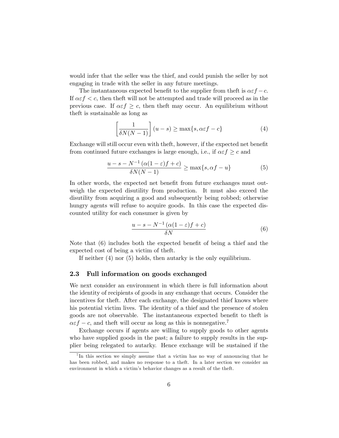would infer that the seller was the thief, and could punish the seller by not engaging in trade with the seller in any future meetings.

The instantaneous expected benefit to the supplier from the ft is  $\alpha \varepsilon f - c$ . If  $\alpha \in f < c$ , then the ft will not be attempted and trade will proceed as in the previous case. If  $\alpha \in f \geq c$ , then theft may occur. An equilibrium without theft is sustainable as long as

$$
\left[\frac{1}{\delta N(N-1)}\right](u-s) \ge \max\{s, \alpha \varepsilon f - c\}
$$
 (4)

Exchange will still occur even with theft, however, if the expected net benefit from continued future exchanges is large enough, i.e., if  $\alpha \varepsilon f \geq c$  and

$$
\frac{u-s-N^{-1}(\alpha(1-\varepsilon)f+c)}{\delta N(N-1)} \ge \max\{s,\alpha f-u\}
$$
 (5)

In other words, the expected net benefit from future exchanges must outweigh the expected disutility from production. It must also exceed the disutility from acquiring a good and subsequently being robbed; otherwise hungry agents will refuse to acquire goods. In this case the expected discounted utility for each consumer is given by

$$
\frac{u - s - N^{-1}(\alpha(1 - \varepsilon)f + c)}{\delta N} \tag{6}
$$

Note that  $(6)$  includes both the expected benefit of being a thief and the expected cost of being a victim of theft.

If neither (4) nor (5) holds, then autarky is the only equilibrium.

#### 2.3 Full information on goods exchanged

We next consider an environment in which there is full information about the identity of recipients of goods in any exchange that occurs. Consider the incentives for theft. After each exchange, the designated thief knows where his potential victim lives. The identity of a thief and the presence of stolen goods are not observable. The instantaneous expected benefit to the ft is  $\alpha \varepsilon f - c$ , and theft will occur as long as this is nonnegative.<sup>7</sup>

Exchange occurs if agents are willing to supply goods to other agents who have supplied goods in the past; a failure to supply results in the supplier being relegated to autarky. Hence exchange will be sustained if the

<sup>&</sup>lt;sup>7</sup>In this section we simply assume that a victim has no way of announcing that he has been robbed, and makes no response to a theft. In a later section we consider an environment in which a victim's behavior changes as a result of the theft.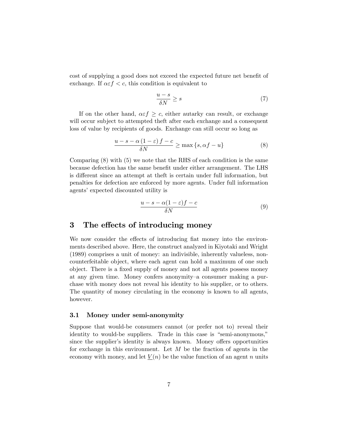cost of supplying a good does not exceed the expected future net benefit of exchange. If  $\alpha \in f < c$ , this condition is equivalent to

$$
\frac{u-s}{\delta N} \ge s \tag{7}
$$

If on the other hand,  $\alpha \in f \geq c$ , either autarky can result, or exchange will occur subject to attempted theft after each exchange and a consequent loss of value by recipients of goods. Exchange can still occur so long as

$$
\frac{u - s - \alpha (1 - \varepsilon) f - c}{\delta N} \ge \max\{s, \alpha f - u\}
$$
 (8)

Comparing  $(8)$  with  $(5)$  we note that the RHS of each condition is the same because defection has the same benefit under either arrangement. The LHS is different since an attempt at the ft is certain under full information, but penalties for defection are enforced by more agents. Under full information agents' expected discounted utility is

$$
\frac{u - s - \alpha(1 - \varepsilon)f - c}{\delta N} \tag{9}
$$

## 3 The effects of introducing money

We now consider the effects of introducing flat money into the environments described above. Here, the construct analyzed in Kiyotaki and Wright (1989) comprises a unit of money: an indivisible, inherently valueless, noncounterfeitable object, where each agent can hold a maximum of one such object. There is a fixed supply of money and not all agents possess money at any given time. Money confers anonymity–a consumer making a purchase with money does not reveal his identity to his supplier, or to others. The quantity of money circulating in the economy is known to all agents, however.

#### 3.1 Money under semi-anonymity

Suppose that would-be consumers cannot (or prefer not to) reveal their identity to would-be suppliers. Trade in this case is "semi-anonymous," since the supplier's identity is always known. Money offers opportunities for exchange in this environment. Let  $M$  be the fraction of agents in the economy with money, and let  $\underline{V}(n)$  be the value function of an agent n units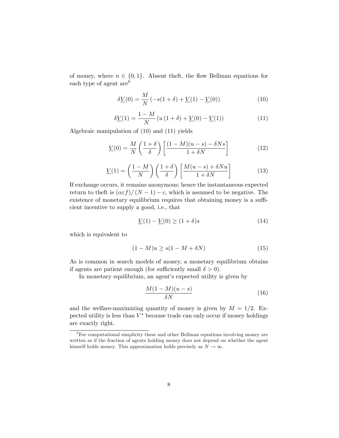of money, where  $n \in \{0, 1\}$ . Absent theft, the flow Bellman equations for each type of agent are<sup>8</sup>

$$
\delta \underline{V}(0) = \frac{M}{N} \left( -s(1+\delta) + \underline{V}(1) - \underline{V}(0) \right) \tag{10}
$$

$$
\delta \underline{V}(1) = \frac{1 - M}{N} \left( u \left( 1 + \delta \right) + \underline{V}(0) - \underline{V}(1) \right) \tag{11}
$$

Algebraic manipulation of (10) and (11) yields

$$
\underline{V}(0) = \frac{M}{N} \left( \frac{1+\delta}{\delta} \right) \left[ \frac{(1-M)(u-s) - \delta N s}{1 + \delta N} \right] \tag{12}
$$

$$
\underline{V}(1) = \left(\frac{1-M}{N}\right) \left(\frac{1+\delta}{\delta}\right) \left[\frac{M(u-s) + \delta Nu}{1+\delta N}\right] \tag{13}
$$

If exchange occurs, it remains anonymous; hence the instantaneous expected return to theft is  $(\alpha \varepsilon f)/(N - 1) - c$ , which is assumed to be negative. The existence of monetary equilibrium requires that obtaining money is a sufficient incentive to supply a good, i.e., that

$$
\underline{V}(1) - \underline{V}(0) \ge (1 + \delta)s \tag{14}
$$

which is equivalent to

$$
(1 - M)u \ge s(1 - M + \delta N)
$$
\n<sup>(15)</sup>

As is common in search models of money, a monetary equilibrium obtains if agents are patient enough (for sufficiently small  $\delta > 0$ ).

In monetary equilibrium, an agent's expected utility is given by

$$
\frac{M(1-M)(u-s)}{\delta N} \tag{16}
$$

and the welfare-maximizing quantity of money is given by  $M = 1/2$ . Expected utility is less than  $V^*$  because trade can only occur if money holdings are exactly right.

<sup>8</sup>For computational simplicity these and other Bellman equations involving money are written as if the fraction of agents holding money does not depend on whether the agent himself holds money. This approximation holds precisely as  $N \to \infty$ .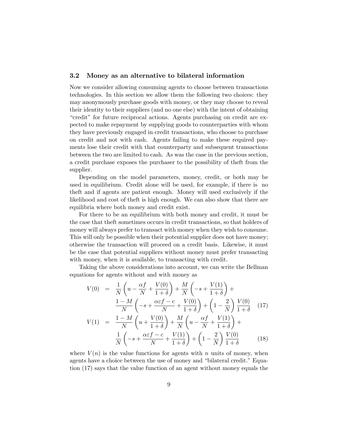#### 3.2 Money as an alternative to bilateral information

Now we consider allowing consuming agents to choose between transactions technologies. In this section we allow them the following two choices: they may anonymously purchase goods with money, or they may choose to reveal their identity to their suppliers (and no one else) with the intent of obtaining ìcreditî for future reciprocal actions. Agents purchasing on credit are expected to make repayment by supplying goods to counterparties with whom they have previously engaged in credit transactions, who choose to purchase on credit and not with cash. Agents failing to make these required payments lose their credit with that counterparty and subsequent transactions between the two are limited to cash. As was the case in the previous section, a credit purchase exposes the purchaser to the possibility of theft from the supplier.

Depending on the model parameters, money, credit, or both may be used in equilibrium. Credit alone will be used, for example, if there is no theft and if agents are patient enough. Money will used exclusively if the likelihood and cost of theft is high enough. We can also show that there are equilibria where both money and credit exist.

For there to be an equilibrium with both money and credit, it must be the case that theft sometimes occurs in credit transactions, so that holders of money will always prefer to transact with money when they wish to consume. This will only be possible when their potential supplier does not have money; otherwise the transaction will proceed on a credit basis. Likewise, it must be the case that potential suppliers without money must prefer transacting with money, when it is available, to transacting with credit.

Taking the above considerations into account, we can write the Bellman equations for agents without and with money as

$$
V(0) = \frac{1}{N} \left( u - \frac{\alpha f}{N} + \frac{V(0)}{1 + \delta} \right) + \frac{M}{N} \left( -s + \frac{V(1)}{1 + \delta} \right) +
$$
  

$$
\frac{1 - M}{N} \left( -s + \frac{\alpha \varepsilon f - c}{N} + \frac{V(0)}{1 + \delta} \right) + \left( 1 - \frac{2}{N} \right) \frac{V(0)}{1 + \delta} \quad (17)
$$
  

$$
V(1) = \frac{1 - M}{N} \left( u + \frac{V(0)}{1 + \delta} \right) + \frac{M}{N} \left( u - \frac{\alpha f}{N} + \frac{V(1)}{1 + \delta} \right) +
$$
  

$$
\frac{1}{N} \left( -s + \frac{\alpha \varepsilon f - c}{N} + \frac{V(1)}{1 + \delta} \right) + \left( 1 - \frac{2}{N} \right) \frac{V(0)}{1 + \delta} \qquad (18)
$$

where  $V(n)$  is the value functions for agents with n units of money, when agents have a choice between the use of money and "bilateral credit." Equation (17) says that the value function of an agent without money equals the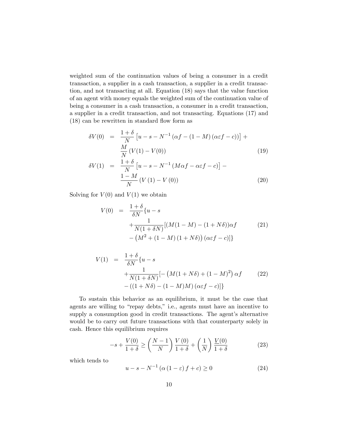weighted sum of the continuation values of being a consumer in a credit transaction, a supplier in a cash transaction, a supplier in a credit transaction, and not transacting at all. Equation (18) says that the value function of an agent with money equals the weighted sum of the continuation value of being a consumer in a cash transaction, a consumer in a credit transaction, a supplier in a credit transaction, and not transacting. Equations (17) and  $(18)$  can be rewritten in standard flow form as

$$
\delta V(0) = \frac{1+\delta}{N} \left[ u - s - N^{-1} \left( \alpha f - (1-M) \left( \alpha \varepsilon f - c \right) \right) \right] + \frac{M}{N} \left( V(1) - V(0) \right) \tag{19}
$$

$$
\delta V(1) = \frac{1+\delta}{N} \left[ u - s - N^{-1} \left( M\alpha f - \alpha \varepsilon f - c \right) \right] - \frac{1-M}{N} \left( V(1) - V(0) \right) \tag{20}
$$

Solving for  $V(0)$  and  $V(1)$  we obtain

$$
V(0) = \frac{1+\delta}{\delta N} \{u - s + \frac{1}{N(1+\delta N)} [(M(1-M) - (1+N\delta))\alpha f \qquad (21) - (M^2 + (1-M) (1+N\delta)) (\alpha \varepsilon f - c)] \}
$$

$$
V(1) = \frac{1+\delta}{\delta N} \{u - s + \frac{1}{N(1+\delta N)} [-(M(1+N\delta) + (1-M)^2) \alpha f \qquad (22) -( (1+N\delta) - (1-M)M) (\alpha \varepsilon f - c) ] \}
$$

To sustain this behavior as an equilibrium, it must be the case that agents are willing to "repay debts," i.e., agents must have an incentive to supply a consumption good in credit transactions. The agent's alternative would be to carry out future transactions with that counterparty solely in cash. Hence this equilibrium requires

$$
-s + \frac{V(0)}{1+\delta} \ge \left(\frac{N-1}{N}\right)\frac{V(0)}{1+\delta} + \left(\frac{1}{N}\right)\frac{V(0)}{1+\delta} \tag{23}
$$

which tends to

$$
u - s - N^{-1} \left( \alpha \left( 1 - \varepsilon \right) f + c \right) \ge 0 \tag{24}
$$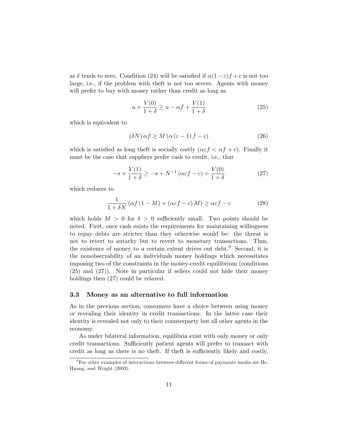as  $\delta$  tends to zero. Condition (24) will be satisfied if  $\alpha(1-\varepsilon)f + c$  is not too large, i.e., if the problem with theft is not too severe. Agents with money will prefer to buy with money rather than credit as long as

$$
u + \frac{V(0)}{1+\delta} \ge u - \alpha f + \frac{V(1)}{1+\delta}
$$
\n<sup>(25)</sup>

which is equivalent to

$$
(\delta N)\,\alpha f \ge M\,(\alpha\,(\varepsilon - 1)\,f - c) \tag{26}
$$

which is satisfied as long theft is socially costly  $(\alpha \varepsilon f \leq \alpha f + c)$ . Finally it must be the case that suppliers prefer cash to credit, i.e., that

$$
-s + \frac{V(1)}{1+\delta} \ge -s + N^{-1} \left( \alpha \varepsilon f - c \right) + \frac{V(0)}{1+\delta}
$$
 (27)

which reduces to

$$
\frac{1}{1+\delta N} \left( \alpha f \left( 1 - M \right) + \left( \alpha \varepsilon f - c \right) M \right) \ge \alpha \varepsilon f - c \tag{28}
$$

which holds  $M > 0$  for  $\delta > 0$  sufficiently small. Two points should be noted. First, once cash exists the requirements for maintaining willingness to repay debts are stricter than they otherwise would be: the threat is not to revert to autarky but to revert to monetary transactions. Thus, the existence of money to a certain extent drives out debt.<sup>9</sup> Second, it is the nonobservability of an individuals money holdings which necessitates imposing two of the constraints in the money-credit equilibrium (conditions (25) and (27)). Note in particular if sellers could not hide their money holdings then  $(27)$  could be relaxed.

#### 3.3 Money as an alternative to full information

As in the previous section, consumers have a choice between using money or revealing their identity in credit transactions. In the latter case their identity is revealed not only to their counterparty but all other agents in the economy.

As under bilateral information, equilibria exist with only money or only credit transactions. Sufficiently patient agents will prefer to transact with credit as long as there is no theft. If theft is sufficiently likely and costly,

 $^9\rm{For}$  other examples of interactions between different forms of payments media see He, Huang, and Wright (2003).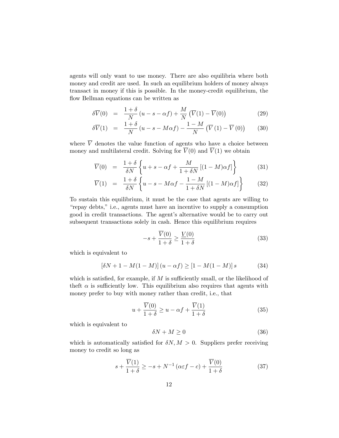agents will only want to use money. There are also equilibria where both money and credit are used. In such an equilibrium holders of money always transact in money if this is possible. In the money-credit equilibrium, the flow Bellman equations can be written as

$$
\delta \overline{V}(0) = \frac{1+\delta}{N} (u - s - \alpha f) + \frac{M}{N} (\overline{V}(1) - \overline{V}(0))
$$
\n(29)

$$
\delta \overline{V}(1) = \frac{1+\delta}{N}(u-s-M\alpha f) - \frac{1-M}{N}(\overline{V}(1) - \overline{V}(0))
$$
 (30)

where  $\overline{V}$  denotes the value function of agents who have a choice between money and multilateral credit. Solving for  $\overline{V}(0)$  and  $\overline{V}(1)$  we obtain

$$
\overline{V}(0) = \frac{1+\delta}{\delta N} \left\{ u+s-\alpha f + \frac{M}{1+\delta N} \left[ (1-M)\alpha f \right] \right\} \tag{31}
$$

$$
\overline{V}(1) = \frac{1+\delta}{\delta N} \left\{ u - s - M\alpha f - \frac{1-M}{1+\delta N} \left[ (1-M)\alpha f \right] \right\} \tag{32}
$$

To sustain this equilibrium, it must be the case that agents are willing to "repay debts," i.e., agents must have an incentive to supply a consumption good in credit transactions. The agent's alternative would be to carry out subsequent transactions solely in cash. Hence this equilibrium requires

$$
-s + \frac{\overline{V}(0)}{1+\delta} \ge \frac{V(0)}{1+\delta}
$$
\n(33)

which is equivalent to

$$
[\delta N + 1 - M(1 - M)] (u - \alpha f) \ge [1 - M(1 - M)] s
$$
 (34)

which is satisfied, for example, if  $M$  is sufficiently small, or the likelihood of theft  $\alpha$  is sufficiently low. This equilibrium also requires that agents with money prefer to buy with money rather than credit, i.e., that

$$
u + \frac{\overline{V}(0)}{1+\delta} \ge u - \alpha f + \frac{\overline{V}(1)}{1+\delta}
$$
 (35)

which is equivalent to

$$
\delta N + M \ge 0 \tag{36}
$$

which is automatically satisfied for  $\delta N, M > 0$ . Suppliers prefer receiving money to credit so long as

$$
s + \frac{\overline{V}(1)}{1+\delta} \ge -s + N^{-1} \left(\alpha \varepsilon f - c\right) + \frac{\overline{V}(0)}{1+\delta} \tag{37}
$$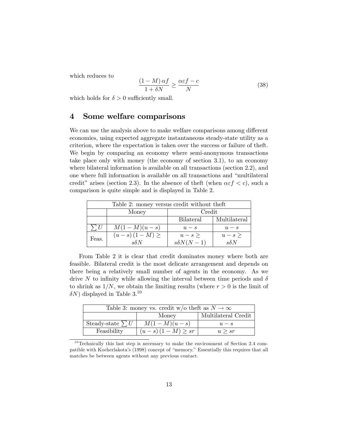which reduces to

$$
\frac{(1-M)\,\alpha f}{1+\delta N} \ge \frac{\alpha \varepsilon f - c}{N} \tag{38}
$$

which holds for  $\delta > 0$  sufficiently small.

# 4 Some welfare comparisons

We can use the analysis above to make welfare comparisons among different economies, using expected aggregate instantaneous steady-state utility as a criterion, where the expectation is taken over the success or failure of theft. We begin by comparing an economy where semi-anonymous transactions take place only with money (the economy of section 3.1), to an economy where bilateral information is available on all transactions (section 2.2), and one where full information is available on all transactions and "multilateral credit" arises (section 2.3). In the absence of the ft (when  $\alpha \epsilon f < c$ ), such a comparison is quite simple and is displayed in Table 2.

| Table 2: money versus credit without theft |                   |                  |              |  |
|--------------------------------------------|-------------------|------------------|--------------|--|
|                                            | Money             | Credit           |              |  |
|                                            |                   | <b>Bilateral</b> | Multilateral |  |
| $\sum U$                                   | $M(1 - M)(u - s)$ | $u - s$          | $u - s$      |  |
| Feas.                                      | $(u-s)(1-M) \ge$  | $u-s\geq$        | $u-s\geq$    |  |
|                                            | $s\delta N$       | $s\delta N(N-1)$ | $s\delta N$  |  |

From Table 2 it is clear that credit dominates money where both are feasible. Bilateral credit is the most delicate arrangement and depends on there being a relatively small number of agents in the economy. As we drive N to infinity while allowing the interval between time periods and  $\delta$ to shrink as  $1/N$ , we obtain the limiting results (where  $r > 0$  is the limit of  $\delta N$ ) displayed in Table 3.<sup>10</sup>

| Table 3: money vs. credit w/o theft as $N \to \infty$ |                          |                     |  |  |
|-------------------------------------------------------|--------------------------|---------------------|--|--|
|                                                       | Money                    | Multilateral Credit |  |  |
| Steady-state $\sum U$                                 | $M(1 - M)(u - s)$        | $u - s$             |  |  |
| Feasibility                                           | $(u - s)(1 - M) \geq sr$ | u > sr              |  |  |

 $10$  Technically this last step is necessary to make the environment of Section 2.4 compatible with Kocherlakota's (1998) concept of "memory." Essentially this requires that all matches be between agents without any previous contact.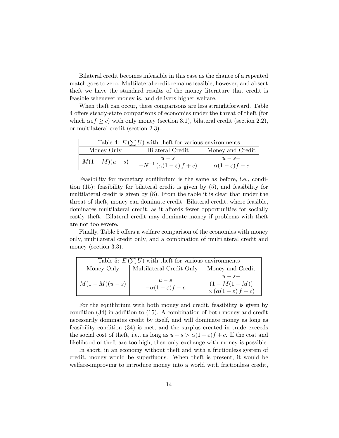Bilateral credit becomes infeasible in this case as the chance of a repeated match goes to zero. Multilateral credit remains feasible, however, and absent theft we have the standard results of the money literature that credit is feasible whenever money is, and delivers higher welfare.

When theft can occur, these comparisons are less straightforward. Table 4 offers steady-state comparisons of economies under the threat of theft (for which  $\alpha \in f \geq c$ ) with only money (section 3.1), bilateral credit (section 2.2), or multilateral credit (section 2.3).

| Table 4: $E(\sum U)$ with the ft for various environments |                                                   |                                         |  |  |
|-----------------------------------------------------------|---------------------------------------------------|-----------------------------------------|--|--|
| Money Only                                                | Bilateral Credit                                  | Money and Credit                        |  |  |
| $M(1 - M)(u - s)$                                         | $u - s$<br>$-N^{-1}(\alpha(1-\varepsilon) f + c)$ | $u - s -$<br>$\alpha(1-\varepsilon)f-c$ |  |  |

Feasibility for monetary equilibrium is the same as before, i.e., condition (15); feasibility for bilateral credit is given by (5), and feasibility for multilateral credit is given by (8). From the table it is clear that under the threat of theft, money can dominate credit. Bilateral credit, where feasible, dominates multilateral credit, as it affords fewer opportunities for socially costly theft. Bilateral credit may dominate money if problems with theft are not too severe.

Finally, Table 5 offers a welfare comparison of the economies with money only, multilateral credit only, and a combination of multilateral credit and money (section 3.3).

| Table 5: $E(\sum U)$ with the ft for various environments |                                          |                                                                        |  |  |
|-----------------------------------------------------------|------------------------------------------|------------------------------------------------------------------------|--|--|
| Money Only                                                | Multilateral Credit Only                 | Money and Credit                                                       |  |  |
| $M(1 - M)(u - s)$                                         | $u - s$<br>$-\alpha(1-\varepsilon)f - c$ | $u - s -$<br>$(1 - M(1 - M))$<br>$\times(\alpha(1-\varepsilon) f + c)$ |  |  |

For the equilibrium with both money and credit, feasibility is given by condition (34) in addition to (15). A combination of both money and credit necessarily dominates credit by itself, and will dominate money as long as feasibility condition (34) is met, and the surplus created in trade exceeds the social cost of theft, i.e., as long as  $u - s > \alpha(1 - \varepsilon)f + c$ . If the cost and likelihood of theft are too high, then only exchange with money is possible.

In short, in an economy without theft and with a frictionless system of credit, money would be superfluous. When the ft is present, it would be welfare-improving to introduce money into a world with frictionless credit,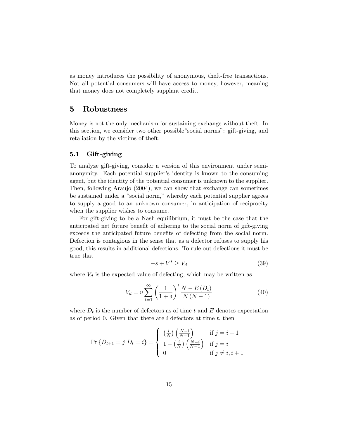as money introduces the possibility of anonymous, theft-free transactions. Not all potential consumers will have access to money, however, meaning that money does not completely supplant credit.

## 5 Robustness

Money is not the only mechanism for sustaining exchange without theft. In this section, we consider two other possible "social norms": gift-giving, and retaliation by the victims of theft.

#### 5.1 Gift-giving

To analyze gift-giving, consider a version of this environment under semianonymity. Each potential supplier's identity is known to the consuming agent, but the identity of the potential consumer is unknown to the supplier. Then, following Araujo (2004), we can show that exchange can sometimes be sustained under a "social norm," whereby each potential supplier agrees to supply a good to an unknown consumer, in anticipation of reciprocity when the supplier wishes to consume.

For gift-giving to be a Nash equilibrium, it must be the case that the anticipated net future benefit of adhering to the social norm of gift-giving exceeds the anticipated future benefits of defecting from the social norm. Defection is contagious in the sense that as a defector refuses to supply his good, this results in additional defections. To rule out defections it must be true that

$$
-s + V^* \ge V_d \tag{39}
$$

where  $V_d$  is the expected value of defecting, which may be written as

$$
V_d = u \sum_{t=1}^{\infty} \left(\frac{1}{1+\delta}\right)^t \frac{N - E(D_t)}{N(N-1)}
$$
(40)

where  $D_t$  is the number of defectors as of time t and E denotes expectation as of period 0. Given that there are  $i$  defectors at time  $t$ , then

$$
\Pr\left\{D_{t+1}=j|D_t=i\right\} = \begin{cases} \left(\frac{i}{N}\right)\left(\frac{N-i}{N-1}\right) & \text{if } j=i+1\\ 1-\left(\frac{i}{N}\right)\left(\frac{N-i}{N-1}\right) & \text{if } j=i\\ 0 & \text{if } j \neq i, i+1 \end{cases}
$$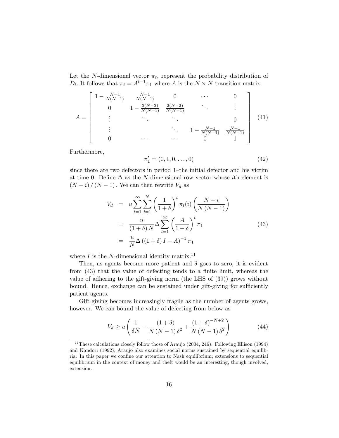Let the N-dimensional vector  $\pi_t$ , represent the probability distribution of  $D_t$ . It follows that  $\pi_t = A^{t-1}\pi_1$  where A is the  $N \times N$  transition matrix

$$
A = \begin{bmatrix} 1 - \frac{N-1}{N(N-1)} & \frac{N-1}{N(N-1)} & 0 & \cdots & 0 \\ 0 & 1 - \frac{2(N-2)}{N(N-1)} & \frac{2(N-2)}{N(N-1)} & \ddots & \vdots \\ \vdots & \ddots & \ddots & 0 & 0 \\ \vdots & \ddots & \ddots & 1 - \frac{N-1}{N(N-1)} & \frac{N-1}{N(N-1)} \\ 0 & \cdots & \cdots & 0 & 1 \end{bmatrix}
$$
(41)

Furthermore,

$$
\pi_1' = (0, 1, 0, \dots, 0) \tag{42}
$$

since there are two defectors in period 1-the initial defector and his victim at time 0. Define  $\Delta$  as the N-dimensional row vector whose *i*th element is  $(N - i)/(N - 1)$ . We can then rewrite  $V_d$  as

$$
V_d = u \sum_{t=1}^{\infty} \sum_{i=1}^{N} \left(\frac{1}{1+\delta}\right)^t \pi_t(i) \left(\frac{N-i}{N(N-1)}\right)
$$
  
= 
$$
\frac{u}{(1+\delta) N} \Delta \sum_{t=1}^{\infty} \left(\frac{A}{1+\delta}\right)^t \pi_1
$$
  
= 
$$
\frac{u}{N} \Delta \left((1+\delta) I - A\right)^{-1} \pi_1
$$
 (43)

where  $I$  is the N-dimensional identity matrix.<sup>11</sup>

Then, as agents become more patient and  $\delta$  goes to zero, it is evident from  $(43)$  that the value of defecting tends to a finite limit, whereas the value of adhering to the gift-giving norm (the LHS of (39)) grows without bound. Hence, exchange can be sustained under gift-giving for sufficiently patient agents.

Gift-giving becomes increasingly fragile as the number of agents grows, however. We can bound the value of defecting from below as

$$
V_d \ge u \left( \frac{1}{\delta N} - \frac{(1+\delta)}{N(N-1)\delta^2} + \frac{(1+\delta)^{-N+2}}{N(N-1)\delta^2} \right)
$$
 (44)

 $11$  These calculations closely follow those of Araujo (2004, 246). Following Ellison (1994) and Kandori (1992), Araujo also examines social norms sustained by sequential equilibria. In this paper we confine our attention to Nash equilibrium; extensions to sequential equilibrium in the context of money and theft would be an interesting, though involved, extension.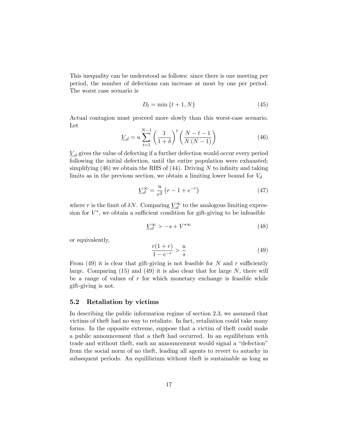This inequality can be understood as follows: since there is one meeting per period, the number of defections can increase at most by one per period. The worst case scenario is

$$
D_t = \min\{t+1, N\} \tag{45}
$$

Actual contagion must proceed more slowly than this worst-case scenario. Let

$$
\underline{V}_d = u \sum_{t=1}^{N-1} \left( \frac{1}{1+\delta} \right)^t \left( \frac{N-t-1}{N(N-1)} \right)
$$
(46)

 $\underline{V}_d$  gives the value of defecting if a further defection would occur every period following the initial defection, until the entire population were exhausted; simplifying  $(46)$  we obtain the RHS of  $(44)$ . Driving N to infinity and taking limits as in the previous section, we obtain a limiting lower bound for  $V_d$ 

$$
\underline{V}_d^{\infty} = \frac{u}{r^2} \left( r - 1 + e^{-r} \right) \tag{47}
$$

where r is the limit of  $\delta N$ . Comparing  $\underline{V}_{d}^{\infty}$  to the analogous limiting expression for  $V^*$ , we obtain a sufficient condition for gift-giving to be infeasible

$$
\underline{V}_d^{\infty} > -s + V^{*\infty} \tag{48}
$$

or equivalently,

$$
\frac{r(1+r)}{1-e^{-r}} > \frac{u}{s}
$$
 (49)

From (49) it is clear that gift-giving is not feasible for N and r sufficiently large. Comparing  $(15)$  and  $(49)$  it is also clear that for large N, there will be a range of values of  $r$  for which monetary exchange is feasible while gift-giving is not.

#### 5.2 Retaliation by victims

In describing the public information regime of section 2.3, we assumed that victims of theft had no way to retaliate. In fact, retaliation could take many forms. In the opposite extreme, suppose that a victim of theft could make a public announcement that a theft had occurred. In an equilibrium with trade and without theft, such an announcement would signal a "defection" from the social norm of no theft, leading all agents to revert to autarky in subsequent periods. An equilibrium without theft is sustainable as long as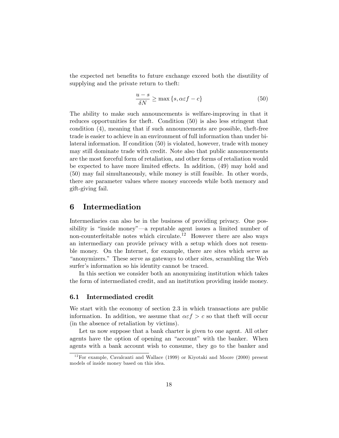the expected net benefits to future exchange exceed both the disutility of supplying and the private return to theft:

$$
\frac{u-s}{\delta N} \ge \max\left\{s, \alpha \varepsilon f - c\right\} \tag{50}
$$

The ability to make such announcements is welfare-improving in that it reduces opportunities for theft. Condition (50) is also less stringent that condition (4), meaning that if such announcements are possible, theft-free trade is easier to achieve in an environment of full information than under bilateral information. If condition (50) is violated, however, trade with money may still dominate trade with credit. Note also that public announcements are the most forceful form of retaliation, and other forms of retaliation would be expected to have more limited effects. In addition, (49) may hold and (50) may fail simultaneously, while money is still feasible. In other words, there are parameter values where money succeeds while both memory and gift-giving fail.

## 6 Intermediation

Intermediaries can also be in the business of providing privacy. One possibility is "inside money"—a reputable agent issues a limited number of non-counterfeitable notes which circulate.<sup>12</sup> However there are also ways an intermediary can provide privacy with a setup which does not resemble money. On the Internet, for example, there are sites which serve as ìanonymizers.î These serve as gateways to other sites, scrambling the Web surfer's information so his identity cannot be traced.

In this section we consider both an anonymizing institution which takes the form of intermediated credit, and an institution providing inside money.

#### 6.1 Intermediated credit

We start with the economy of section 2.3 in which transactions are public information. In addition, we assume that  $\alpha \in f > c$  so that theft will occur (in the absence of retaliation by victims).

Let us now suppose that a bank charter is given to one agent. All other agents have the option of opening an "account" with the banker. When agents with a bank account wish to consume, they go to the banker and

 $12$  For example, Cavalcanti and Wallace (1999) or Kiyotaki and Moore (2000) present models of inside money based on this idea.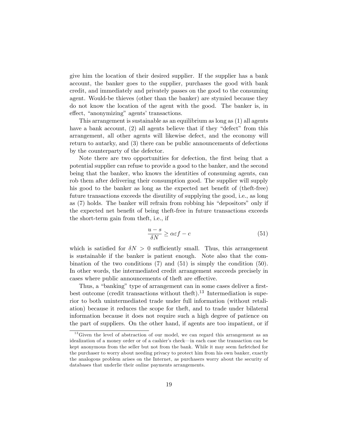give him the location of their desired supplier. If the supplier has a bank account, the banker goes to the supplier, purchases the good with bank credit, and immediately and privately passes on the good to the consuming agent. Would-be thieves (other than the banker) are stymied because they do not know the location of the agent with the good. The banker is, in effect, "anonymizing" agents' transactions.

This arrangement is sustainable as an equilibrium as long as (1) all agents have a bank account,  $(2)$  all agents believe that if they "defect" from this arrangement, all other agents will likewise defect, and the economy will return to autarky, and (3) there can be public announcements of defections by the counterparty of the defector.

Note there are two opportunities for defection, the first being that a potential supplier can refuse to provide a good to the banker, and the second being that the banker, who knows the identities of consuming agents, can rob them after delivering their consumption good. The supplier will supply his good to the banker as long as the expected net benefit of (theft-free) future transactions exceeds the disutility of supplying the good, i.e., as long as  $(7)$  holds. The banker will refrain from robbing his "depositors" only if the expected net benefit of being theft-free in future transactions exceeds the short-term gain from theft, i.e., if

$$
\frac{u-s}{\delta N} \ge \alpha \varepsilon f - c \tag{51}
$$

which is satisfied for  $\delta N > 0$  sufficiently small. Thus, this arrangement is sustainable if the banker is patient enough. Note also that the combination of the two conditions (7) and (51) is simply the condition (50). In other words, the intermediated credit arrangement succeeds precisely in cases where public announcements of theft are effective.

Thus, a "banking" type of arrangement can in some cases deliver a firstbest outcome (credit transactions without theft).<sup>13</sup> Intermediation is superior to both unintermediated trade under full information (without retaliation) because it reduces the scope for theft, and to trade under bilateral information because it does not require such a high degree of patience on the part of suppliers. On the other hand, if agents are too impatient, or if

 $13$  Given the level of abstraction of our model, we can regard this arrangement as an idealization of a money order or of a cashier's check—in each case the transaction can be kept anonymous from the seller but not from the bank. While it may seem farfetched for the purchaser to worry about needing privacy to protect him from his own banker, exactly the analogous problem arises on the Internet, as purchasers worry about the security of databases that underlie their online payments arrangements.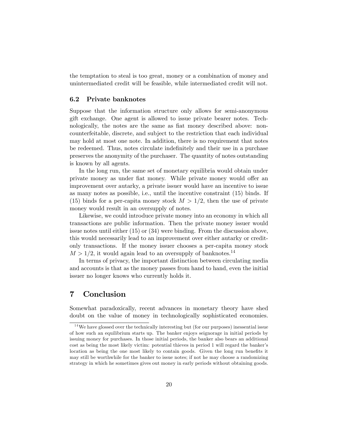the temptation to steal is too great, money or a combination of money and unintermediated credit will be feasible, while intermediated credit will not.

#### 6.2 Private banknotes

Suppose that the information structure only allows for semi-anonymous gift exchange. One agent is allowed to issue private bearer notes. Technologically, the notes are the same as flat money described above: noncounterfeitable, discrete, and subject to the restriction that each individual may hold at most one note. In addition, there is no requirement that notes be redeemed. Thus, notes circulate indefinitely and their use in a purchase preserves the anonymity of the purchaser. The quantity of notes outstanding is known by all agents.

In the long run, the same set of monetary equilibria would obtain under private money as under fiat money. While private money would offer an improvement over autarky, a private issuer would have an incentive to issue as many notes as possible, i.e., until the incentive constraint (15) binds. If (15) binds for a per-capita money stock  $M > 1/2$ , then the use of private money would result in an oversupply of notes.

Likewise, we could introduce private money into an economy in which all transactions are public information. Then the private money issuer would issue notes until either (15) or (34) were binding. From the discussion above, this would necessarily lead to an improvement over either autarky or creditonly transactions. If the money issuer chooses a per-capita money stock  $M > 1/2$ , it would again lead to an oversupply of banknotes.<sup>14</sup>

In terms of privacy, the important distinction between circulating media and accounts is that as the money passes from hand to hand, even the initial issuer no longer knows who currently holds it.

## 7 Conclusion

Somewhat paradoxically, recent advances in monetary theory have shed doubt on the value of money in technologically sophisticated economies.

 $14$  We have glossed over the technically interesting but (for our purposes) inessential issue of how such an equilibrium starts up. The banker enjoys seignorage in initial periods by issuing money for purchases. In those initial periods, the banker also bears an additional cost as being the most likely victim: potential thieves in period 1 will regard the banker's location as being the one most likely to contain goods. Given the long run benefits it may still be worthwhile for the banker to issue notes; if not he may choose a randomizing strategy in which he sometimes gives out money in early periods without obtaining goods.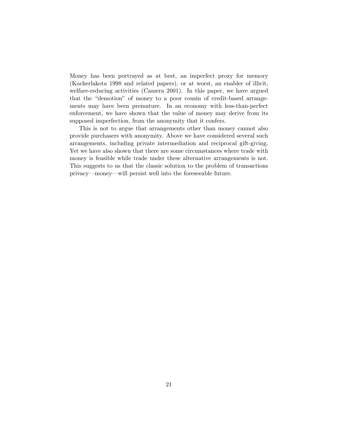Money has been portrayed as at best, an imperfect proxy for memory (Kocherlakota 1998 and related papers), or at worst, an enabler of illicit, welfare-reducing activities (Camera 2001). In this paper, we have argued that the "demotion" of money to a poor cousin of credit-based arrangements may have been premature. In an economy with less-than-perfect enforcement, we have shown that the value of money may derive from its supposed imperfection, from the anonymity that it confers.

This is not to argue that arrangements other than money cannot also provide purchasers with anonymity. Above we have considered several such arrangements, including private intermediation and reciprocal gift-giving. Yet we have also shown that there are some circumstances where trade with money is feasible while trade under these alternative arrangements is not. This suggests to us that the classic solution to the problem of transactions privacy—money—will persist well into the foreseeable future.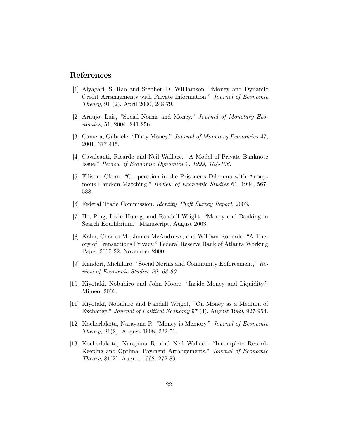# References

- [1] Aiyagari, S. Rao and Stephen D. Williamson, "Money and Dynamic Credit Arrangements with Private Information." Journal of Economic Theory, 91 (2), April 2000, 248-79.
- [2] Araujo, Luis, "Social Norms and Money." *Journal of Monetary Eco*nomics, 51, 2004, 241-256.
- [3] Camera, Gabriele. "Dirty Money." Journal of Monetary Economics 47, 2001, 377-415.
- [4] Cavalcanti, Ricardo and Neil Wallace. "A Model of Private Banknote" Issue." Review of Economic Dynamics 2, 1999, 104-136.
- [5] Ellison, Glenn. "Cooperation in the Prisoner's Dilemma with Anonymous Random Matching." Review of Economic Studies 61, 1994, 567-588.
- [6] Federal Trade Commission. Identity Theft Survey Report, 2003.
- [7] He, Ping, Lixin Huang, and Randall Wright. "Money and Banking in Search Equilibrium." Manuscript, August 2003.
- [8] Kahn, Charles M., James McAndrews, and William Roberds. "A Theory of Transactions Privacy." Federal Reserve Bank of Atlanta Working Paper 2000-22, November 2000.
- [9] Kandori, Michihiro. "Social Norms and Community Enforcement,"  $Re$ view of Economic Studies 59, 63-80.
- [10] Kiyotaki, Nobuhiro and John Moore. "Inside Money and Liquidity." Mimeo, 2000.
- [11] Kiyotaki, Nobuhiro and Randall Wright, "On Money as a Medium of Exchange." Journal of Political Economy 97 (4), August 1989, 927-954.
- [12] Kocherlakota, Narayana R. "Money is Memory." Journal of Economic Theory, 81(2), August 1998, 232-51.
- [13] Kocherlakota, Narayana R. and Neil Wallace. "Incomplete Record-Keeping and Optimal Payment Arrangements." Journal of Economic Theory, 81(2), August 1998, 272-89.